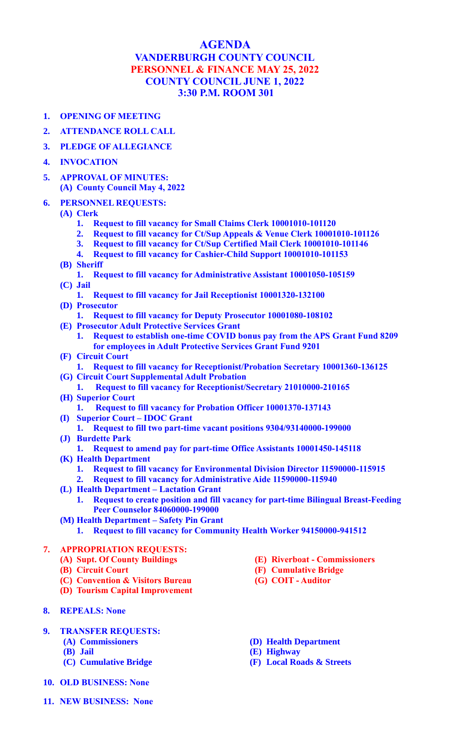## **AGENDA VANDERBURGH COUNTY COUNCIL PERSONNEL & FINANCE MAY 25, 2022 COUNTY COUNCIL JUNE 1, 2022 3:30 P.M. ROOM 301**

- **1. OPENING OF MEETING**
- **2. ATTENDANCE ROLL CALL**
- **3. PLEDGE OF ALLEGIANCE**
- **4. INVOCATION**
- **5. APPROVAL OF MINUTES: (A) County Council May 4, 2022**
- **6. PERSONNEL REQUESTS:**
	- **(A) Clerk**
		- **1. Request to fill vacancy for Small Claims Clerk 10001010-101120**
		- **2. Request to fill vacancy for Ct/Sup Appeals & Venue Clerk 10001010-101126**
		- **3. Request to fill vacancy for Ct/Sup Certified Mail Clerk 10001010-101146**
		- **4. Request to fill vacancy for Cashier-Child Support 10001010-101153**
	- **(B) Sheriff**
	- **1. Request to fill vacancy for Administrative Assistant 10001050-105159 (C) Jail**
	- **1. Request to fill vacancy for Jail Receptionist 10001320-132100**
	- **(D) Prosecutor**
		- **1. Request to fill vacancy for Deputy Prosecutor 10001080-108102**
	- **(E) Prosecutor Adult Protective Services Grant**
		- **1. Request to establish one-time COVID bonus pay from the APS Grant Fund 8209 for employees in Adult Protective Services Grant Fund 9201**
	- **(F) Circuit Court**
	- **1. Request to fill vacancy for Receptionist/Probation Secretary 10001360-136125 (G) Circuit Court Supplemental Adult Probation**
	- **1. Request to fill vacancy for Receptionist/Secretary 21010000-210165 (H) Superior Court**
		- **1. Request to fill vacancy for Probation Officer 10001370-137143**
	- **(I) Superior Court – IDOC Grant**
	- **1. Request to fill two part-time vacant positions 9304/93140000-199000 (J) Burdette Park**
		- **1. Request to amend pay for part-time Office Assistants 10001450-145118**
	- **(K) Health Department**
		- **1. Request to fill vacancy for Environmental Division Director 11590000-115915**
		- **2. Request to fill vacancy for Administrative Aide 11590000-115940**
	- **(L) Health Department – Lactation Grant**
		- **1. Request to create position and fill vacancy for part-time Bilingual Breast-Feeding Peer Counselor 84060000-199000**
	- **(M) Health Department – Safety Pin Grant**
		- **1. Request to fill vacancy for Community Health Worker 94150000-941512**

## **7. APPROPRIATION REQUESTS:**

- **(A) Supt. Of County Buildings**
- **(B) Circuit Court**
- **(C) Convention & Visitors Bureau**
- **(D) Tourism Capital Improvement**
- **8. REPEALS: None**
- **9. TRANSFER REQUESTS:**
	- **(A) Commissioners**
	- **(B) Jail**
	- **(C) Cumulative Bridge**
- **10. OLD BUSINESS: None**
- **11. NEW BUSINESS: None**
- **(E) Riverboat - Commissioners**
- **(F) Cumulative Bridge**
- **(G) COIT - Auditor**
- **(D) Health Department**
- **(E) Highway**
- **(F) Local Roads & Streets**